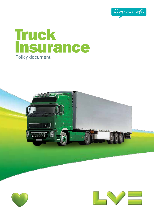







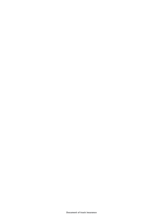Document of truck insurance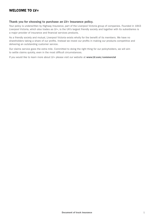## WELCOME TO LV=

#### Thank you for choosing to purchase an LV= Insurance policy.

Your policy is underwritten by Highway Insurance, part of the Liverpool Victoria group of companies. Founded in 1843 Liverpool Victoria, which also trades as LV=, is the UK's largest friendly society and together with its subsidiaries is a major provider of insurance and financial services products.

As a friendly society and mutual, Liverpool Victoria exists wholly for the benefit of its members. We have no shareholders taking a share of our profits. Instead we invest our profits in making our products competitive and delivering an outstanding customer service.

Our claims service goes the extra mile. Committed to doing the right thing for our policyholders, we will aim to settle claims quickly, even in the most difficult circumstances.

If you would like to learn more about  $LV =$  please visit our website at www.LV.com/commercial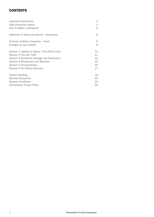# **CONTENTS**

| Important Information                            | 3  |
|--------------------------------------------------|----|
| Data Protection Notice                           | 3  |
| How To Make A Complaint                          | 5  |
| Definition of Terms and Words - Definitions      | 6  |
| Contract of Motor Insurance - Truck              | 8  |
| Changes to your details                          | 8  |
| Section 1 Liability to others: Third Party Cover | 10 |
| Section 2 Fire and Theft                         | 12 |
| Section 3 Accidental Damage and Extensions       | 13 |
| Section 4 Windscreen and Windows                 | 15 |
| Section 5 Driving Abroad                         | 16 |
| Section 6 No Claims Discount                     | 17 |
| <b>Claims Handling</b>                           | 18 |
| <b>General Exclusions</b>                        | 20 |
| <b>General Conditions</b>                        | 22 |
| Cancellation of your Policy                      | 24 |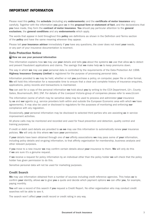## IMPORTANT INFORMATION

Please read this **policy**, the **schedule** (including any **endorsements**) and the **certificate of motor insurance** very carefully. Together with the information you gave us in the proposal form or statement of fact, and the declarations that you have made, they form the contract of motor insurance. You should pay particular attention to the general exclusions, the general conditions and any endorsements which apply.

The words that appear in bold throughout this **policy** are definitions as shown in the Definition and Terms section of the **policy** and have the same meaning wherever they appear.

Please tell vour insurance adviser immediately if you have any questions, the cover does not meet your needs, or any part of your insurance documentation is incorrect.

## Data Protection Notice

#### **H** How we use your personal information

This information explains how we may use your details and tells you about the systems we use that allow us to detect and prevent fraudulent applications and claims. The savings that we make help us to keep premiums down.

The way in which we may use your personal data is controlled by the requirements of the Data Protection Act 1998. Highway Insurance Company Limited is registered for the purpose of processing personal data.

Information provided to us may be held, whether or not you purchase a policy, on computer, paper file or other format. We will hold this information for a reasonable time to ensure that a clear and complete history of insurance enquiries, applications, policy records and transactions is maintained.

You can ask for a copy of the personal information we hold about you by writing to the CCA Department, LV=, County Gates, Bournemouth, BH1 2NF. For details of the Liverpool Victoria group of companies please refer to www.LV.com

The information (some of which may be sensitive data) may be used to process and administer your insurance by us and our agents (e.g. service providers both within and outside the European Economic area with which we have agreements). It may also be used or disclosed to regulators for the purposes of monitoring and enforcing our compliance with any regulation.

Occasionally, your personal information may be disclosed to selected third parties who are assisting us in service improvement activities.

All phone calls may be monitored and recorded and used for fraud prevention and detection, quality control and training purposes.

If credit or debit card details are provided to us we may use this information to automatically renew your insurance policies. We will only do this where we have your permission.

If vour details have been obtained through one of our affinity associations we may pass some of vour information, including policy details and on-going information, to that affinity organisation for membership, business analysis and other relevant purposes.

If you move to a new insurer we may confirm certain details about your insurance to them. We will only do this if we are sure it's a genuine request.

If we receive a request for policy information by an individual other than the policy holder we will check that the policy holder has given permission to do this.

Sensitive personal data will not be used for marketing purposes.

## Credit Search

We may use information obtained from a number of sources including credit reference agencies. This helps us to confirm your identity, allows us to give you a quote and decide which payment options we can offer you, for example, paying monthly.

You will see a record of this search if you request a Credit Report. No other organisation who may conduct credit searches will be able to see it.

The search won't affect your credit record or credit rating in any way.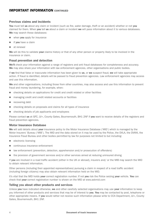## IMPORTANT INFORMATION CONTINUED

## Previous claims and incidents

You must tell us about any claim or incident (such as fire, water damage, theft or an accident) whether or not you claimed for them. When you tell us about a claim or incident we will pass information about it to various databases. We may search these databases:

- when you apply for insurance
- $\blacksquare$  if you have a claim
- at renewal

We will do this to validate your claims history or that of any other person or property likely to be involved in the insurance or claim.

## Fraud prevention and detection

We'll check your information against a range of registers and anti fraud databases for completeness and accuracy. We may also share your information with law enforcement agencies, other organisations and public bodies.

If we find that false or inaccurate information has been given to us, or we suspect fraud, we will take appropriate action. If fraud is identified, details will be passed to fraud prevention agencies. Law enforcement agencies may access and use this information.

We and other organisations, including those from other countries, may also access and use this information to prevent fraud and money laundering, for example, when:

- n checking details on applications for credit and credit related or other facilities
- managing credit and credit related accounts or facilities
- $\blacksquare$  recovering debt
- n checking details on proposals and claims for all types of insurance
- checking details of job applicants and employees

Please contact us at GFC, LV=, County Gates, Bournemouth, BH1 2NF if you want to receive details of the registers and fraud prevention agencies.

#### Motor Insurance Database

We will add details about your insurance policy to the Motor Insurance Database ('MID') which is managed by the Motor Insurers' Bureau ('MIB'). The MID and the data stored on it may be used by the Police, the DVLA, the DVANI, the Insurance Fraud Bureau and other bodies permitted by law for purposes not limited to but including:

- electronic licensing
- $\Box$  continuous insurance enforcement
- law enforcement (prevention, detection, apprehension and/or prosecution of offenders)
- the provision of government services and/or other services aimed at reducing uninsured driving

If you are involved in a road traffic accident (either in the UK or abroad), insurers and/ or the MIB may search the MID to obtain relevant information.

Other persons (including their appointed representatives) pursuing a claim in respect of a road traffic accident (including foreign citizens) may also obtain relevant information held on the MID.

It's vital that the MID holds your correct registration number. If not you risk the Police seizing your vehicle. You can check that your correct registration number is shown on the MID at www.askmid.com

#### Telling you about other products and services

Unless you have indicated otherwise, we and other carefully selected organisations may use your information to keep you informed of other products and services that may be of interest to you. You may be contacted by post, telephone or other appropriate means. If you would rather not receive such information please write to CCA Department, LV=, County Gates, Bournemouth, BH1 2NF.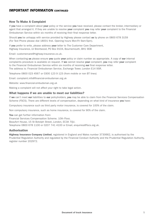## IMPORTANT INFORMATION CONTINUED

## How To Make A Complaint

If you have a complaint about your policy or the service you have received, please contact the broker, intermediary or agent that arranged it. If they are unable to resolve your complaint you may refer your complaint to the Financial Ombudsman Service within six months of receiving their final response letter.

Should you be unhappy with service provided by Highway please contact us by phone on 0800 678 3159 (For Text Phone please dial 18001 first. Opening hours Mon-Fri 9am-5pm).

If you prefer to write, please address your letter to The Customer Care Department, Highway Insurance, LV Brentwood, PO Box 9104, Bournemouth, BH1 9DB

Email: customercare@highway-insurance.co.uk.

When contacting us please ensure you quote your policy or claim number as appropriate. A copy of our internal complaints procedure is available on request. If we cannot resolve your complaint, you may refer your complaint to the Financial Ombudsman Service within six months of receiving our final response letter. The address is: Financial Ombudsman Service, Exchange Tower, London E14 9SR.

Telephone 0800 023 4567 or 0300 123 9 123 (from mobile or non BT lines)

Email: complaint.info@financial-ombudsman.org.uk

Website: www.financial-ombudsman.org.uk

Making a complaint will not affect your right to take legal action.

#### What happens if we are unable to meet our liabilities?

If we can't meet our liabilities to our policyholders, you may be able to claim from the Financial Services Compensation Scheme (FSCS). There are different levels of compensation, depending on what kind of insurance you have:

Compulsory insurance such as third party motor insurance, is covered for 100% of the claim.

Non compulsory insurance, such as home insurance, is covered for 90% of the claim.

You can get further information from: Financial Services Compensation Scheme. 10th Floor, Beaufort House, 15 St Botolph Street, London, EC3A 7QU. Telephone 0800 678 1100 or 0207 741 4100 or Email, enquiries@fscs.org.uk.

#### Authorisation

Highway Insurance Company Limited, registered in England and Wales number 3730662, is authorised by the Prudential Regulation Authority and regulated by the Financial Conduct Authority and the Prudential Regulation Authority, register number 202972.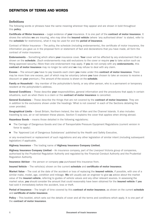# DEFINITION OF TERMS AND WORDS

## **Definitions**

The following words or phrases have the same meaning wherever they appear and are shown in bold throughout this policy.

Certificate of Motor Insurance – Legal evidence of your insurance. It is one part of the contract of motor insurance. It shows the vehicles we are insuring, who may drive the **insured vehicle** (where 'any authorised driver' is stated, refer to the schedule for restrictions), what it may be used for and the period of insurance.

Contract of Motor Insurance – The policy, the schedule (including endorsements), the certificate of motor insurance, the information you gave us in the proposal form or statement of fact and declarations that you have made, all form the contract of motor insurance.

**Endorsements** – Something which alters **your** insurance cover. Your cover will be affected by any endorsement that is shown on the schedule. (Such endorsements may add exclusions to the cover or require you to take action such as fitting approved security.) More than one endorsement may apply. If you do not comply with any endorsements, this contract of motor insurance may no longer be valid and we may refuse to deal with any claim.

**Excess** – The amount you have to pay towards each claim you make under this contract of motor insurance. There may be more than one excess, part of which may be voluntary (where you have chosen to take an excess to receive a discount on your premium.) The amount of the excess is shown on the schedule.

Family or Household – Any member of the policyholder's family, or any other person, who is a permanent or temporary resident at the policyholder's address.

General Conditions – These describe your responsibilities, general information and the procedures that apply in certain situations, such as when there is a claim or the **contract of motor insurance** is cancelled.

General Exclusions – These describe the things that are not covered by the contract of motor insurance. They are in addition to the exclusions shown under the headings 'What is not covered' in each of the Sections detailing the cover provided.

Geographical Limits – Great Britain, Northern Ireland, the Isle of Man and the Channel Islands. It also includes travelling by sea, air or rail between these places. Section 5 explains the cover that applies when driving abroad.

Hazardous Goods – means those detailed in the following regulations;

- The Carriage of Dangerous Goods and Use of Transportable Pressure Equipment Regulations (current version in force to apply);
- The 'Approved List of Dangerous Substances' published by the Health and Safety Executive,

or any re-enactment or replacement of such regulations and any other legislation of similar intent (including subsequent legislation) if applicable.

#### Highway Insurance - The trading name of Highway Insurance Company Limited.

Highway Insurance Company Limited – An insurance company, part of the Liverpool Victoria group of companies, authorised by the Prudential Regulation Authority and regulated by the Financial Conduct Authority and the Prudential Regulation Authority.

**Insurance Adviser** – the person or company you purchased this insurance from.

Insured Vehicle – The vehicle(s) shown on the current schedule and certificate of motor insurance.

Market Value – The cost at the date of the accident or loss of replacing the insured vehicle, if possible, with one of a similar make, model, age, condition and mileage. We will usually ask an engineer to give us advice about the market value of the *insured vehicle*, referring to guides of vehicle values and any other relevant sources. In assessing the market value, you should consider the amount that could reasonably have been obtained for the insured vehicle if you had sold it immediately before the accident, loss or theft.

Period of Insurance – The length of time covered by this contract of motor insurance, as shown on the current schedule and certificate of motor insurance.

Policy – This booklet, which sets out the details of cover and all the terms and conditions which apply. It is one part of the contract of motor insurance.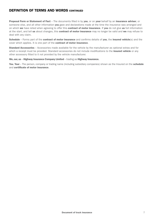## DEFINITION OF TERMS AND WORDS CONTINUED

Proposal Form or Statement of Fact – The documents filled in by you, or on your behalf by an insurance adviser, or someone else, and all other information you gave and declarations made at the time the insurance was arranged and on which we have relied when agreeing to offer this contract of motor insurance. If you do not give us full information at the start, and tell us about changes, this contract of motor insurance may no longer be valid and we may refuse to deal with any claim.

Schedule – Forms part of the contract of motor insurance and confirms details of you, the insured vehicle(s) and the cover which applies. It is one part of the contract of motor insurance.

Standard Accessories – Accessories made available for the vehicle by the manufacturer as optional extras and for which a receipt must be provided. Standard accessories do not include modifications to the insured vehicle or any other accessory fitted to it not provided by the vehicle manufacturer.

#### We, our, us – Highway Insurance Company Limited – trading as Highway Insurance.

You, Your – The person, company or trading name (including subsidiary companies) shown as the Insured on the schedule and certificate of motor insurance.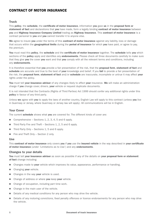# CONTRACT OF MOTOR INSURANCE

## Truck

This policy, the schedule, the certificate of motor insurance, information you gave us in the proposal form or statement of fact and declarations that you have made, form a legally binding contract of motor insurance between you and Highway Insurance Company Limited trading as Highway Insurance. This contract of motor insurance is a contract personal to you and you cannot transfer it to anyone else.

We agree to insure you under the terms of this contract of motor insurance against any liability, loss or damage that occurs within the **geographical limits** during the **period of insurance** for which you have paid, or agree to pay, the premium.

You must read this policy, the schedule and the certificate of motor insurance together. The schedule tells you which sections of the **policy** apply and identifies any **endorsements**. Please check all three documents carefully to make sure that they give you the cover you want and that you comply with all the relevant terms and conditions, including any endorsements.

It is therefore essential that you provide a fair presentation of the risk, that the proposal form, statement of fact and schedule are accurate and true to the best of your knowledge and belief. If you fail to provide a fair presentation of the risk, the proposal form, statement of fact and/or schedule are inaccurate, incomplete or untrue it may affect your rights under the policy.

You must tell your insurance adviser of any changes likely to affect your insurance. We will make an administration charge if you change cover, drivers, your vehicle or request duplicate documents.

It is not intended that the Contracts (Rights of Third Parties) Act 1999 should confer any additional rights under this **policy** in favour of any third party.

Unless we agree with you to apply the laws of another country, English Law will apply to this contract (unless you live in Guernsey or Jersey, where Guernsey or Jersey law will apply). All communications will be in English.

## Your Cover

The current schedule shows what you are covered for. The different kinds of cover are:

- **n** Comprehensive Sections 1, 2, 3, 4, 5 and 6 apply.
- $\blacksquare$  Third Party Fire and Theft Sections 1, 2, 5 and 6 apply.
- Third Party Only Sections 1, 5 and 6 apply.
- Fire and Theft Only Section 2 only.

#### Use

This contract of motor insurance only covers you if you use the insured vehicle in the way described in your certificate of motor insurance (under 'Limitations as to Use') and any endorsements.

## Changes to your details

You must tell your insurance adviser as soon as possible if any of the details on your proposal form or statement of fact change including:

- Changes made to your vehicle which improves its value, appearance, performance or handling.
- Changing your vehicle.
- Changes in the way **your** vehicle is used.
- Change of address or where you keep your vehicle.
- $\blacksquare$  Change of occupation, including part time work.
- Change in the main user of the vehicle.
- $\blacksquare$  Details of any medical conditions for any person who may drive the vehicle.
- Details of any motoring convictions, fixed penalty offences or licence endorsements for any person who may drive the vehicle.

#### 8 Document of truck insurance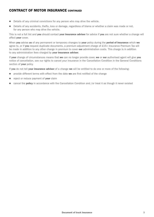## CONTRACT OF MOTOR INSURANCE CONTINUED

- **n** Details of any criminal convictions for any person who may drive the vehicle.
- Details of any accidents, thefts, loss or damage, regardless of blame or whether a claim was made or not, for any person who may drive the vehicle.

This is not a full list and you should contact your insurance adviser for advice if you are not sure whether a change will affect your cover.

When you advise us of any permanent or temporary changes to your policy during the period of insurance which we agree to, or if you request duplicate documents, a premium adjustment charge of £15+ Insurance Premium Tax will be made in addition to any other change in premium to cover our administration costs. This charge is in addition to any administration fees charged by your insurance adviser.

If your change of circumstances means that we can no longer provide cover, we or our authorised agent will give you notice of cancellation, see our rights to cancel your insurance in the Cancellation Condition in the General Conditions section of your policy

If you do not tell your insurance adviser of a change we will be entitled to do one or more of the following:

- $\blacksquare$  provide different terms with effect from the date we are first notified of the change
- reject or reduce payment of your claim
- cancel the **policy** in accordance with the Cancellation Condition and /or treat it as though it never existed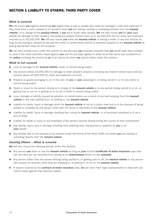# SECTION 1 LIABILITY TO OTHERS: THIRD PARTY COVER

### What is covered

We will insure you against everything you legally have to pay to people who claim for damages, costs and expenses if they arise from a claim caused by an accident while you are driving, loading or unloading (directly from the insured vehicle), or in charge of the insured vehicle, if you kill or injure other people. We will also insure you for your legal liability for damage to their property (including any related indirect loss) up to £5,000,000 and for costs and expenses incurred up to £5,000,000. We will also insure you while the insured vehicle is towing a trailer or any one vehicle, so long as the towing is allowed by law and the trailer or broken-down vehicle is attached properly to the *insured vehicle* by towing equipment made for this purpose.

We will also provide cover under this section to any principal you empower provided that you would have been entitled to cover if the claim had been made against you and the principal agrees to abide by all the terms and conditions of the **policy** including the control by us of all claims for which we may be liable under this section.

#### What is not covered

- Loss or damage to the **insured vehicle**, trailer or vehicle being towed.
- Any amount above £5,000,000 for damage to other people's property (including any related indirect loss) and any amount above £5,000,000 for costs and expenses incurred.
- Property or goods belonging to (or in the care of) you or your passengers, or being carried in or on any trailer or vehicle being towed.
- Death or injury to the person driving or in charge of the **insured vehicle** or to any person being carried in or on, or getting into or out of, or getting on to or off, a trailer or vehicle being towed.
- **n** Loss, damage or liability caused by pollution or contamination as a result of any load seeping from the *insured* vehicle or any load spilling from, or shifting in, the insured vehicle.
- Liability for death, injury or damage when the insured vehicle is not on a public road and is in the process of being loaded or unloaded by any person other than the driver or attendant of the *insured vehicle*.
- Liability for death, injury or damage resulting from using the **insured vehicle**, or of machinery attached to it, as a tool of trade.
- Liability for death or injury to any employee of the person insured arising during the course of their employment.
- Any liability, injury, loss or damage resulting from anything sold, transported or supplied by you or on your behalf.
- Any liability that is not required to be covered under the terms of the Road Traffic Act whilst you are loading or unloading directly from the **insured vehicle**.

#### Insuring Others – What is covered

We will also insure the following people under this Section.

- n Any person you allow to use the insured vehicle as long as your current certificate of motor insurance says they can and they are not excluded from driving by an **endorsement** shown on the **schedule**.
- Any person (other than the person driving) being carried in, or getting onto or off, the **insured vehicle** or any person who causes an accident while they are traveling in, or getting in or out of, the **insured vehicle.**
- If anyone covered by the contract of motor insurance dies, we will cover their legal representative to deal with any claims made against that person's estate.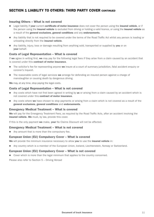# SECTION 1 LIABILITY TO OTHERS: THIRD PARTY COVER CONTINUED

### Insuring Others – What is not covered

- Legal liability if your current certificate of motor insurance does not cover the person using the insured vehicle, or if the person using the *insured vehicle* is excluded from driving or holding a valid licence, or using the *insured vehicle* as a result of the general exclusions, general conditions and any endorsements.
- n Any liability that is not required to be covered under the terms of the Road Traffic Act whilst any person is loading or unloading directly from the insured vehicle.
- Any liability, injury, loss or damage resulting from anything sold, transported or supplied by you or on your behalf.

#### Costs of Legal Representation – What is covered

If we agree in writing first, we may pay for the following legal fees if they arise from a claim caused by an accident that is covered under this contract of motor insurance.

- The solicitor's fee for representing anyone we insure at a court of summary jurisdiction, fatal accident enquiry or coroner's inquest.
- The reasonable costs of legal services we arrange for defending an insured person against a charge of manslaughter or causing death by dangerous driving.

We may, at any time, stop paying the legal costs.

#### Costs of Legal Representation – What is not covered

- Any costs which have not first been agreed in writing by us or arising from a claim caused by an accident which is not covered under this contract of motor insurance.
- Any costs where we have chosen to stop payments or arising from a claim which is not covered as a result of the general exclusions, general conditions and endorsements.

#### Emergency Medical Treatment – What is covered

We will pay for the Emergency Treatment Fees, as required by the Road Traffic Acts, after an accident involving the insured vehicle. We must, by law, provide this cover.

If this is the only payment we make, your No Claims Discount will not be affected.

#### Emergency Medical Treatment – What is not covered

 $\blacksquare$  Any amount that is more than the compulsory fee.

#### European Union (EU) Compulsory Cover – What is covered

We will provide the minimum insurance necessary to allow you to use the insured vehicle in:

Any country which is a member of the European Union, Iceland, Liechtenstein, Norway or Switzerland.

#### European Union (EU) Compulsory Cover – What is not covered

Cover which is more than the legal minimum that applies to the country concerned.

Please also refer to Section 5 – Driving Abroad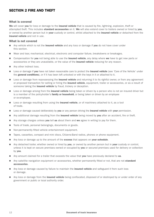# SECTION 2 FIRE AND THEFT

### What is covered

We will cover you for loss or damage to the insured vehicle that is caused by fire, lightning, explosion, theft or attempted theft. This includes standard accessories on it. We will also extend cover to trailers owned or hired by you, or owned by another person but in your custody or control, whilst attached to the insured vehicle or detached from the insured vehicle and not in use.

#### What is not covered

- n Any vehicle which is not the **insured vehicle** and any loss or damage if you do not have cover under this section.
- Wear and tear, mechanical, electrical, electronic and computer failure, breakdowns or breakages.
- **n** Compensation for you not being able to use the **insured vehicle**, any delay where we have to get new parts or accessories or they are unavailable, or the value of the **insured vehicle** reducing for any reason.
- Any other indirect loss.
- Loss or damage if you have not taken reasonable care to protect the insured vehicle (see 'Care of the Vehicle' under the general conditions), or if it has been left unlocked or with the keys in it or attached to it.
- Loss or damage from repossessing the *insured vehicle* and returning it to its rightful owner, or from any agreement or proposed transaction for selling or hiring the insured vehicle, equipment, trailer or accessories, or as a result of someone taking the *insured vehicle* by fraud, trickery or deception.
- Loss or damage arising from the **insured vehicle** being taken or driven by a person who is not an insured driver but is a member of the policyholder's family or household, or being taken or driven by an employee or ex-employee.
- **n** Loss or damage resulting from using the **insured vehicle**, or of machinery attached to it, as a tool of trade.
- **n** Loss or damage caused deliberately by you or any person driving the insured vehicle with your permission.
- Any additional damage resulting from the **insured vehicle** being moved by you after an accident, fire or theft.
- $\blacksquare$  Any storage charges unless you tell us about them and we agree in writing to pay for them.
- Tools of trade, personal belongings, documents or goods.
- Non-permanently fitted vehicle entertainment equipment.
- Tapes, cassettes, compact and mini discs, Citizens-Band radios, phones or phone equipment.
- Any loss or damage up to the amount of the excess that appears on your schedule.
- Any detached trailer, whether owned or hired by you, or owned by another person but in your custody or control, unless it is kept on secure premises owned or occupied by you or secured premises used for delivery or collection by you.
- Any amount claimed for a trailer that exceeds the value that you have previously declared to us.
- Any satellite navigation equipment or accessories, whether permanently fitted or not, that are not **standard** accessories.
- Any loss or damage caused by failure to maintain the **insured vehicle** and safeguard it from such loss or damage.
- Any loss or damage from the **insured vehicle** being confiscated, disposed of or destroyed by or under order of any government or public or local authority order.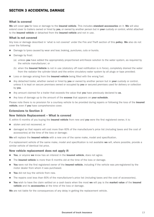# SECTION 3 ACCIDENTAL DAMAGE

### What is covered

We will cover you for loss or damage to the insured vehicle. This includes standard accessories on it. We will also extend cover to trailers owned or hired by you, or owned by another person but in your custody or control, whilst attached to the insured vehicle or detached from the insured vehicle and not in use.

#### What is not covered

Any loss or damage described in 'what is not covered' under the Fire and Theft section of this **policy. We** also do not cover the following:

- Damage to tyres caused by wear and tear, braking, punctures, cuts or bursts.
- Damage by frost:
	- (a) unless you have added the appropriately proportioned anti-freeze solution to the water system, as required by the vehicle manufacturer; or
	- (b) when the Insured Vehicle is not in use (statutory off road notification is in force), completely drained the water from the radiator the cylinder block and the entire circulatory water system by all plugs or taps provided;
- **n** Loss or damage arising from the **insured vehicle** being filled with the wrong fuel.
- Any detached trailer, whether owned or hired by you or owned by another person but in your custody or control, unless it is kept on secure premises owned or occupied by **vou** or secured premises used for delivery or collection by you.
- Any amount claimed for a trailer that exceeds the value that you have previously declared to us.
- Any loss of damage up to the amount of the excess that appears on your schedule.

Please note there is no provision for a courtesy vehicle to be provided during repairs or following the loss of the insured vehicle, even if you have comprehensive cover.

#### Extensions to Section 3

#### New Vehicle Replacement – What is covered

If, within 6 months of you buying the insured vehicle from new and you were the first registered owner, it is:

- stolen and not recovered, or
- n damaged so that repairs will cost more than 60% of the manufacturer's price list (including taxes and the cost of accessories) at the time of the loss or damage;

We will replace the insured vehicle with a new one of the same make, model and specification.

If a replacement vehicle of the same make, model and specification is not available we will, where possible, provide a similar vehicle of identical list price.

#### New vehicle replacement does not apply if:

- You, or anyone we know has an interest in the insured vehicle, does not agree.
- The **insured vehicle** is more than 6 months old at the time of the loss or damage.
- You were not the first registered owner of the insured vehicle, including if the vehicle was pre-registered by the motor dealer from whom it was purchased.
- You did not buy the vehicle from new.
- The repairs cost less than 60% of the manufacturer's price list (including taxes and the cost of accessories).
- You wish to have the claim settled on a cash basis when the most we will pay is the market value of the insured vehicle and its accessories at the time of the loss or damage.

We are not liable for the consequences of any delay in getting the replacement vehicle.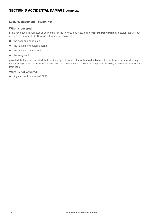## **SECTION 3 ACCIDENTAL DAMAGE CONTINUED**

## Lock Replacement - Stolen Key

## What is covered

If the keys, lock transmitter or entry card for the keyless entry system of your insured vehicle are stolen, we will pay up to a maximum of £250 towards the cost of replacing:

- the door and boot locks
- $n$  the ignition and steering locks
- $\blacksquare$  the lock transmitter; and
- $\blacksquare$  the entry card

provided that we are satisfied that the identity or location of your insured vehicle is known to any person who may have the keys, transmitter or entry card, and reasonable care is taken to safeguard the keys, transmitter or entry card from loss.

## What is not covered

■ Any amount in excess of £250.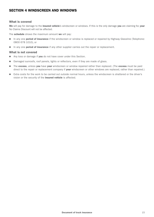# SECTION 4 WINDSCREEN AND WINDOWS

### What is covered

We will pay for damage to the insured vehicle's windscreen or windows. If this is the only damage you are claiming for, your No Claims Discount will not be affected.

The **schedule** shows the maximum amount we will pay:

- n any one **period of insurance** if the windscreen or window is replaced or repaired by Highway Glassline (Telephone: 0800 678 1010), or
- n any one **period of insurance** if any other supplier carries out the repair or replacement.

#### What is not covered

- Any loss or damage if you do not have cover under this Section.
- Damaged sunroofs, roof panels, lights or reflectors, even if they are made of glass.
- The excess, unless you have your windscreen or window repaired rather than replaced. (The excess must be paid direct to the repair or replacement company if your windscreen or other windows are replaced, rather than repaired.)
- n Extra costs for the work to be carried out outside normal hours, unless the windscreen is shattered or the driver's vision or the security of the **insured vehicle** is affected.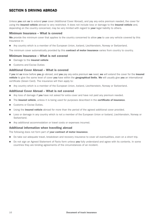# SECTION 5 DRIVING ABROAD

Unless you ask us to extend your cover (Additional Cover Abroad), and pay any extra premium needed, the cover for using the insured vehicle abroad is very restricted. It does not include loss or damage to the insured vehicle and, depending on the country concerned, may be very limited with regard to **your** legal liability to others.

#### Minimum Insurance – What is covered

We provide the minimum cover that applies to the country concerned to allow you to use any vehicle covered by this Insurance in:

■ Any country which is a member of the European Union, Iceland, Liechtenstein, Norway or Switzerland.

The minimum cover automatically provided by this contract of motor insurance varies from country to country.

### Minimum Insurance – What is not covered

- Damage to the insured vehicle
- **n** Customs and Excise Duties

### Additional Cover Abroad – What is covered

If you let us know before you go abroad, and you pay any extra premium we need, we will extend the cover for the insured vehicle to give the same level of cover you have within the geographical limits. We will usually give you an international certificate (Green Card). The insurance will then apply to:

Any country which is a member of the European Union, Iceland, Liechtenstein, Norway or Switzerland.

### Additional Cover Abroad – What is not covered

- Any loss of damage if **you** have not asked for extra cover and have not paid any premium needed.
- The insured vehicle, unless it is being used for purposes described in the certificate of insurance.
- Customs or Excise Duties.
- Using the **insured vehicle** abroad for more than the period of the agreed additional cover provided.
- **n** Loss or damage in any country which is not a member of the European Union or Iceland, Liechtenstein, Norway or Switzerland.
- Any additional accommodation or travel costs or expenses incurred.

## Additional information when travelling abroad

The following does not form part of your contract of motor insurance.

- Do take out adequate travel, breakdown and recovery insurance to cover all eventualities, even on a short trip.
- Do not sign an Agreed Statement of Facts form unless you fully understand and agree with its contents. In some countries they are binding agreements of the circumstances of an incident.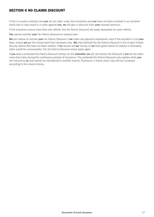# SECTION 6 NO CLAIMS DISCOUNT

If this is a yearly contract, and you do not claim under this insurance and you have not been involved in an accident which has or may result in a claim against you, we will give a discount from your renewal premium.

If the insurance covers more than one vehicle, the No Claims Discount will apply separately for each vehicle.

You cannot transfer your No Claims Discount to anyone else.

We will reduce or remove your No Claims Discount if we make any payment whatsoever, even if the accident is not your fault, unless we get the money back from someone else. We may withhold the No Claims Discount in full or part if there are any claims that have not been settled. If we recover all our money, or we have good reason to believe a third-party claim would be unsuccessful, the No Claims Discount would apply again.

If you have a protected No Claims Discount (shown on the schedule) we will not reduce the Discount if you do not claim more than twice during five continuous periods of insurance. The protected No Claims Discount only applies while you are insured by us and cannot be transferred to another insurer. Premiums in future years may still be increased according to the claims history.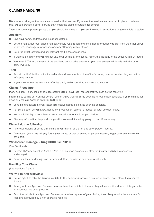# CLAIMS HANDLING

We aim to provide you the best claims service that we can. If you use the services we have put in place to achieve this, we can provide a better service than when the claim is outside our control.

There are some important points that you should be aware of if you are involved in an accident or your vehicle is stolen.

### Accident

- Give your name, address and insurance details.
- Get the name, address, phone number, vehicle registration and any other information you can from the other driver or drivers, passengers, witnesses and any attending police officer.
- Note the exact location and any relevant road signs or markings.
- If there is an injury and you did not give your details at the scene, report the incident to the police within 24 hours.
- You must STOP at the scene of the accident, do not drive away until you have exchanged details with the other party involved.

## Theft

- **n** Report the theft to the police immediately and take a note of the officer's name, number constabulary and crime reference number.
- **n** If you know where the vehicle is after its theft, make sure that it is safe and secure.

### Claims Procedure

If any accident, injury, loss or damage occurs you, or your legal representative, must do the following:

Inform us by calling our Contact Centre (UK) on 0800 028 9655 as soon as is reasonably possible. If your claim is for glass only call our glassline on 0800 678 1010.

- Send us, unanswered, every letter you receive about a claim as soon as possible.
- Tell us, as soon as you know, about any prosecution, coroner's inquest or fatal accident injury.
- Not admit liability or negotiate a settlement without our written permission.
- Give any information, help and co-operation we need, including going to court if necessary.

## We will do the following:

- Take over, defend or settle any claims in your name, or that of any other person insured.
- Take action (which we will pay for) in your name, or that of any other person insured, to get back any money we have paid.

## Windscreen Damage – Ring 0800 678 1010

(See Section 4)

- Contact Highway Glassline (0800 678 1010) as soon as possible after the *insured vehicle's* windscreen is damaged.
- Some windscreen damage can be repaired. If so, no windscreen excess will apply.

## Handling Your Claim

(See Sections 2 and 3)

### We will do the following:

- Get an agent to take the **insured vehicle** to the nearest Approved Repairer or another safe place if you cannot drive it.
- Refer you to an Approved Repairer. You can take the vehicle to them or they will collect it and return it to you after an estimate has been prepared.
- Send the vehicle to an Approved Repairer, or another repairer of your choice, if we disagree with the estimate for repairing it provided by a non-approved repairer.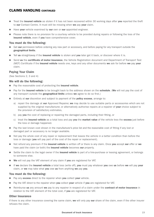## CLAIMS HANDLING CONTINUED

- Treat the insured vehicle as stolen if it has not been recovered within 30 working days after you reported the theft to our Contact Centre. It must still be missing when we pay your claim.
- Have your vehicle examined by our own or our appointed engineer.
- **n** Please note there is no provision for a courtesy vehicle to be provided during repairs or following the loss of the insured vehicle, even if you have comprehensive cover.

### You must do the following:

- Get our permission before ordering any new part or accessory, and before paying for any transport outside the geographical limits.
- Fell us straightaway if the insured vehicle is stolen and you later get it back, or discover where it is.
- Send us the certificate of motor insurance, the Vehicle Registration document and Department of Transport Test (MOT) Certificate if the insured vehicle needs one, keys and any other documents we ask for before we pay your claim.

### Paying Your Claim

(See Sections 2, 3 and 4)

#### We will do the following:

- Pay the reasonable cost of protecting the insured vehicle.
- Pay for the insured vehicle to be brought back to the address shown on the schedule. (We will not pay the cost of any transport outside the **geographical limits** unless we agree to do so first.)
- Entirely at our discretion and subject to payment of the **policy excess**, arrange to:
	- a) repair the damage at our Approved Repairer, we may decide to use suitable parts or accessories which are not supplied by the original manufacturer, or alternatively authorise repairs at a repairer of your choice subject to the provision of satisfactory estimates,
	- b) pay **you** the cost of replacing or repairing the damaged parts, including their fitting, or
	- c) treat the insured vehicle as a total loss and pay you the market value of the vehicle less the excess just before the loss or damage happened.
- n Pay the last known cost shown in the manufacturer's price list and the reasonable cost of fitting if any lost or damaged part or accessory is no longer available.
- n Not pay the whole cost of any repair or replacement that leaves the vehicle in a better condition than before the loss or damage (you will pay part of the cost of the repair or replacement).
- Not refund any premium if the insured vehicle is written off or there is any claim. Once you accept our offer or we have paid the claim (or both) the **insured vehicle** becomes our property.
- Settle the claim to the legal owner if the insured vehicle is part of a hire-purchase or leasing agreement, or belongs to someone else.
- We will not pay the VAT element of any claim if you are registered for VAT.
- **n** If we declare the insured vehicle a total loss (write off), you must pay whatever you owe us before we will pay your claim, or we may take what you owe us from anything we pay you.

#### You must do the following:

- Pay any excess direct to the repairer when you collect your vehicle.
- Pay the VAT direct to the repairer when you collect your vehicle if you are registered for VAT.
- Reimburse us any amount we pay to any repairer in respect of a claim under the contract of motor insurance in relation to the VAT element of the total cost, if **vou** are registered for VAT.

#### Other Insurance

If there is any other insurance covering the same claim, we will only pay our share of the claim, even if the other insurer refuses the claim.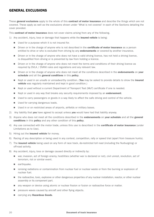## GENERAL EXCLUSIONS

These general exclusions apply to the whole of this contract of motor insurance and describe the things which are not covered. These apply as well as the exclusions shown under 'What is not covered' in each of the Sections detailing the cover provided.

This **contract of motor insurance** does not cover claims arising from any of the following.

- 1) Any accident, injury, loss or damage that happens while the *insured vehicle* is being:
	- Used for a purpose which it is not insured for.
	- Driven or in the charge of anyone who is not described in the **certificate of motor insurance** as a person entitled to drive or who is excluded from driving by any **endorsements** or covered by another insurance.
	- Driven or in the charge of anyone who does not have a valid driving licence, has not held a driving licence, is disqualified from driving or is prevented by law from holding a licence.
	- Driven or in the charge of anyone who does not meet the terms and conditions of their driving licence as required by DVLA / DVANI rules and regulations and any relevant law.
	- Driven or in the charge of anyone who does not meet all the conditions described in the **endorsements** on your schedule and all the general conditions in this policy.
	- Kept or used in an unsafe or unroadworthy condition. (You may be asked to provide details to show the insured **vehicle** was regularly maintained and kept in good condition.)
	- Kept or used without a current Department of Transport Test (MoT) certificate if one is needed.
	- Kept or used in any way that breaks any security requirements imposed by an **endorsement**.
	- Used to carry passengers or goods in a way likely to affect the safe driving and control of the vehicle.
	- Used for carrying dangerous loads.
	- Used in or on restricted areas of airports, airfields or military bases.
- 2) Any liability that you have agreed to accept unless you would have had that liability anyway.
- 3) Anyone who does not meet all the conditions described in the endorsements on your schedule and all the general conditions in this policy and any other condition of this policy.
- 4) Any use connected with the motor trade, unless this use is described in the certificate of motor insurance (under Limitations as to Use).
- 5) Hiring out the insured vehicle for money.
- 6) Racing of any description or being used in any contest, competition, rally or speed trial (apart from treasure hunts).
- 7) The insured vehicle being used on any form of race track, de-restricted toll road (including the Nurburgring) or off-road activity.
- 8) Any accident, injury, loss or damage caused directly or indirectly by:
	- war, invasion, act of foreign enemy, hostilities (whether war is declared or not), civil unrest, revolution, act of terrorism, riot or similar event.
	- earthquake.
	- ionising radiations or contamination from nuclear fuel or nuclear waste or from the burning or explosion of nuclear fuel.
	- n the radioactive, toxic, explosive or other dangerous properties of any nuclear installation, reactor, or other nuclear assembly or its component part.
	- any weapon or device using atomic or nuclear fission or fusion or radioactive force or matter.
	- pressure waves caused by aircraft and other flying objects.
	- carrying any Hazardous Goods.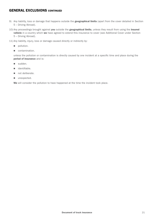## GENERAL EXCLUSIONS CONTINUED

- 9) Any liability, loss or damage that happens outside the **geographical limits** (apart from the cover detailed in Section 5 – Driving Abroad).
- 10) Any proceedings brought against you outside the geographical limits, unless they result from using the insured vehicle in a country which we have agreed to extend this insurance to cover (see Additional Cover under Section 5 – Driving Abroad).
- 11) Any liability, injury, loss or damage caused directly or indirectly by:
	- **n** pollution.
	- $\blacksquare$  contamination.

 unless the pollution or contamination is directly caused by one incident at a specific time and place during the period of insurance and is:

- sudden.
- $\blacksquare$  identifiable.
- $\blacksquare$  not deliberate.
- $\blacksquare$  unexpected.

We will consider the pollution to have happened at the time the incident took place.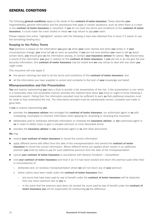# GENERAL CONDITIONS

The following general conditions apply to the whole of this contract of motor insurance. These describe your responsibilities, general information and the procedures that apply in certain situations, such as when there is a claim or the contract of motor insurance is cancelled. If you do not meet the terms and conditions of this contract of motor insurance, it could make the cover invalid or mean we may refuse to pay your claim.

Please replace this entire "highlighted" section with the following (I have also attached this in word, if it easier to use the formatting/bolding etc):-

## Keeping to the Policy Terms

Your premium is based on the information you gave us when your cover started and when you renew it. If your circumstances change, you must tell us as soon as possible. If you are not sure whether you need to tell us about certain facts, you should give us the information anyway, or contact your insurance advisor for advice. You should keep a record of the information you give in relation to this contract of motor insurance. If you did not or do not give full and accurate information, this contract of motor insurance may be invalid and we may refuse to deal with any claim you might make.

This insurance will only apply if:

- n the person claiming has kept to all the terms and conditions of this **contract of motor insurance**; and
- all the information you have supplied is correct and complete to the best of your knowledge and belief.

### Misrepresentation and Fair Presentation

You and anyone representing you have a Duty to provide a fair presentation of the risk. A fair presentation is one which, in a reasonably clear and accessible manner, provides the material facts which you know or ought to know following a reasonable search. Failing that, the information provided must be sufficient to warn us that additional enquiries must be made to fully understand the risk. The information provided must be substantially correct, complete and made in good faith.

If you or anyone representing you

- provides the *insurance advisor* who arranged the **contract of motor insurance**, our authorised agent or us with misleading, incomplete or incorrect information when applying for, amending or renewing this insurance
- eliberately and/or recklessly withholds information or misleads the *insurance advisor*, or our authorised agent or us in order to obtain cover or gain a cheaper premium or more favourable terms
- n provides the **insurance advisor** or **our** authorised agent or **us** with false documents

#### We may

- amend your contract of motor insurance to record the correct information
- n apply different terms with effect from the date of the misrepresentation and amend the **contract of motor insurance** to record the correct information. Where different terms are applied which results in an additional premium you shall be liable to pay for such additional premium from the date of the misrepresentation
- cancel your contract of motor insurance in accordance with General Condition Cancellation
- void your contract of motor insurance and treat it as if it had never existed and return the premium paid other than in circumstances of
	- i. deliberate and /or reckless misrepresentation where we will not return any of your premium
	- ii. where claims have been made under the **contract of motor insurance** then
		- any sums that have been paid by way of benefit under the contract of motor insurance will be deducted from any return premium due to you or
		- in the event that the premium paid does not exceed the sums paid by way of benefit under the **contract of** motor insurance you will be responsible for reimbursing us the difference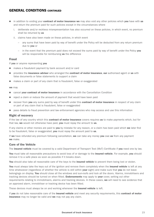## GENERAL CONDITIONS CONTINUED

- n in addition to voiding your contract of motor insurance we may also void any other policies which you have with us and return the premium paid for such policies except in the circumstances where
	- i. deliberate and/or reckless misrepresentation has also occurred on these policies, in which event, no premium shall be returned by us
	- ii. claims have also been made on these policies, in which event
		- any sums that have been paid by way of benefit under the Policy will be deducted from any return premium due to you or
		- in the event that the premium paid does not exceed the sums paid by way of benefit under the Policy you will be responsible for reimbursing us the difference

## Fraud

If you or anyone representing you

- makes a fraudulent payment by bank account and/or card
- provides the insurance adviser who arranged the contract of motor insurance, our authorised agent or us with false documents or false statements to support a claim
- n makes a claim or part of any claim that is fraudulent, false or exaggerated

#### we may

- cancel **vour contract of motor insurance** in accordance with the Cancellation Condition
- reject a claim or reduce the amount of payment that would have been paid
- n recover from you any sums paid by way of benefit under this contract of motor insurance in respect of any claim or part of any claim that is fraudulent, false or exaggerated
- n pass details to fraud prevention and law enforcement agencies who may access and use this information

## Right of recovery

If the law of any country which this contract of motor insurance covers requires us to make payments which, but for that law, we would not otherwise have paid, you must repay the amount to us.

If any claims or other monies are paid to you by mistake for any reason, or a claim has been paid which we later find to be fraudulent, false or exaggerated, you must repay the amount paid to us.

If we have refunded any premium following cancellation, we can take any money you owe us from any payment we make.

#### Care of the Vehicle

The **insured vehicle** must be covered by a valid Department of Transport Test (MoT) Certificate if you need one by law.

You must take all reasonable precautions to avoid loss of or damage to the insured vehicle. For example, you should remove it to a safe place as soon as possible if it breaks down.

You should also take all reasonable care of the keys to the insured vehicle to prevent them being lost or stolen.

You must always take the keys out of the ignition and remove them completely when the insured vehicle is left at any time whatsoever (regardless of whether the vehicle is still within your sight) and make sure that you do not leave belongings on display. You should close all the windows and sun-roofs and lock all the doors. Alarms, immobilisers and tracking devices should be turned on when fitted. **Endorsements** may apply to **your** cover, setting out other requirements relating to immobilisers, alarms and tracking devices. In these cases, we will need to see evidence that an approved alarm, immobiliser or tracking device has been fitted.

These devices must always be on and working whenever the *insured vehicle* is left.

If you do not take reasonable care of the insured vehicle and meet any security requirements, this contract of motor insurance may no longer be valid and we may not pay any claim.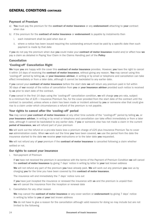## GENERAL CONDITIONS CONTINUED

### Payment of Premium

- a) You must pay the premium for the contract of motor insurance or any endorsement attaching to your contract when due
- b) if the premium for the **contract of motor insurance** or **endorsement** is payable by instalments then
	- i. each instalment shall be paid when due or
	- ii. where a notice has been issued requiring the outstanding amount must be paid by a specific date then such payment is made by that date

If you do not pay the premium when due you could make your contract of motor insurance invalid and/or affect how we pay a claim as detailed in Paying Your Claim in the Claims Handling part of the **Policy** 

## Cancellation

## 'Cooling-off' Cancellation Right

We hope you are happy with the cover this contract of motor insurance provides. However, you have the right to cancel it within 14 days of receiving the contract of motor insurance, without giving any reason. You may cancel using this 'cooling-off' period by telling us, or your insurance adviser, in writing or by email or telephone and cancellation can take effect immediately or from a later date, although it cannot be backdated to any earlier date.

If you cancel your contract of motor insurance before the start date we will return any premium paid in full within 30 days of our receipt of the notice of cancellation from you or your insurance adviser provided such notice is received by **us** prior to start date of the contract.

If you cancel in the first 14 days using the 'cooling-off' cancellation condition, we will charge you pro rata, subject to a minimum fee of £25 + Insurance Premium Tax, for the cover provided from the start date of the contract until the contract is cancelled, unless where a claim has been made or incident advised by you or someone else that could give rise to a claim under which circumstances a refund of the premium is not payable.

## Your rights to cancel after the 'cooling–off' period

You may cancel your contract of motor insurance at any other time outside of the "cooling-off" period by telling us, or your insurance adviser, in writing or by email or telephone and cancellation can take effect immediately or from a later date, although it cannot be backdated to any earlier date. If you or someone else has not made a claim in the current period of insurance, we will refund part of your premium

We will work out the refund on a pro-rata basis less a premium charge of £25 plus Insurance Premium Tax to cover our administration costs. When we work out the time you have been covered, we use the period from the date the insurance started to the date we receive your instructions or to the later date you requested.

We will not refund any of your premium if the contract of motor insurance is cancelled following a claim whether settled or not.

#### Our rights to cancel your insurance

i. Non-payment of Premium

If we have not received the premium in accordance with the terms of the Payment of Premium Condition we will cancel the contract of motor insurance by giving 7 days' notice in writing by letter to your last known address

We will not refund any part of the premium you have already paid. We will work out any premium you owe us by charging you for the time you have been covered by this contract of motor insurance.

The insurance will end immediately the 7 days' notice runs out

If you have just incepted the insurance or renewed the insurance with us and the premium is unpaid then we will cancel the insurance from the inception or renewal date

ii. Cancellation for any other reason

We may cancel the **contract of motor insurance** or any cover section or **endorsement** by giving 7 days' notice in writing by letter to you at your last known address

We do not have to give a reason for the cancellation although valid reasons for doing so may include but are not limited to the following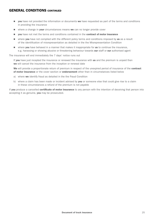## GENERAL CONDITIONS CONTINUED

- vou have not provided the information or documents we have requested as part of the terms and conditions in providing the insurance
- where a change in your circumstances means we can no longer provide cover
- you have not met the terms and conditions contained in the contract of motor insurance
- where you have not complied with the different policy terms and conditions imposed by us as a result of the identification of misrepresentation as detailed in the the Misrepresentation Condition
- n where you have behaved in a manner that makes it inappropriate for us to continue the insurance, e.g. harassing or showing abusive or threatening behaviour towards our staff or our authorised agent

The insurance will end immediately the 7 days' notice runs out

If you have just incepted the insurance or renewed the insurance with us and the premium is unpaid then we will cancel the insurance from the inception or renewal date

We will provide a proportionate return of premium in respect of the unexpired period of insurance of the contract of motor insurance or the cover section or endorsement other than in circumstances listed below

- a) where we identify fraud as detailed in the the Fraud Condition
- b) where a claim has been made or incident advised by you or someone else that could give rise to a claim in these circumstances a refund of the premium is not payable

If you produce a cancelled certificate of motor insurance to any person with the intention of deceiving that person into accepting it as genuine, you may be prosecuted.